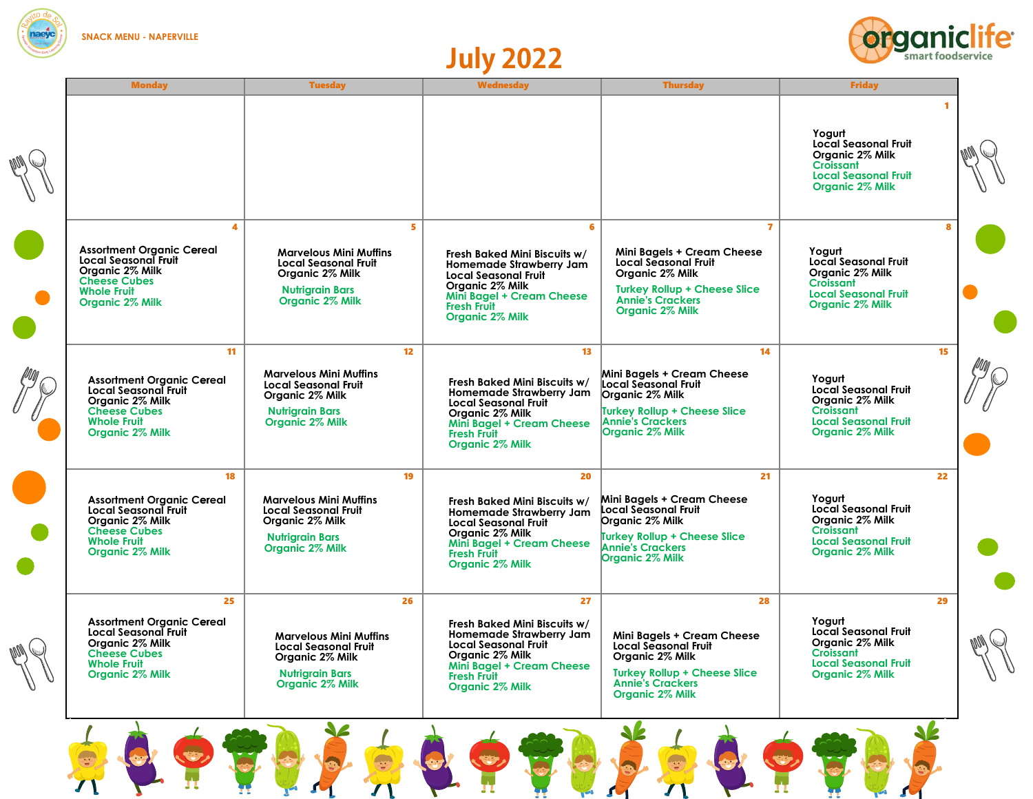

## **July 2022**



|                     | <b>Monday</b>                                                             | <b>Tuesday</b>                                   | <b>Wednesday</b>                                                                                                | <b>Thursday</b>                                                                                   | <b>Friday</b>                                                             |    |
|---------------------|---------------------------------------------------------------------------|--------------------------------------------------|-----------------------------------------------------------------------------------------------------------------|---------------------------------------------------------------------------------------------------|---------------------------------------------------------------------------|----|
|                     |                                                                           |                                                  |                                                                                                                 |                                                                                                   | <b>Croissant</b><br><b>Local Seasonal Fruit</b><br>Organic 2% Milk        |    |
|                     | <b>Cheese Cubes</b><br><b>Whole Fruit</b><br>Organic 2% Milk              | 4<br><b>Nutrigrain Bars</b><br>Organic 2% Milk   | 5<br>6<br><b>Mini Bagel + Cream Cheese</b><br><b>Fresh Fruit</b><br><b>Organic 2% Milk</b>                      | $\mathbf{7}$<br><b>Turkey Rollup + Cheese Slice</b><br><b>Annie's Crackers</b><br>Organic 2% Milk | Croissant<br><b>Local Seasonal Fruit</b><br>Organic 2% Milk               | 8  |
|                     | 11<br><b>Cheese Cubes</b><br><b>Whole Fruit</b><br>Organic 2% Milk        | <b>Nutrigrain Bars</b><br>Organic 2% Milk        | 13 <sup>°</sup><br>12 <sup>2</sup><br><b>Mini Bagel + Cream Cheese</b><br><b>Fresh Fruit</b><br>Organic 2% Milk | 14<br><b>Turkey Rollup + Cheese Slice</b><br><b>Annie's Crackers</b><br><b>Organic 2% Milk</b>    | <b>Croissant</b><br><b>Local Seasonal Fruit</b><br>Organic 2% Milk        | 15 |
|                     | 18<br><b>Cheese Cubes</b><br><b>Whole Fruit</b><br>Organic 2% Milk        | <b>Nutrigrain Bars</b><br><b>Organic 2% Milk</b> | 19<br>20<br><b>Mini Bagel + Cream Cheese</b><br><b>Fresh Fruit</b><br><b>Organic 2% Milk</b>                    | 21<br><b>Turkey Rollup + Cheese Slice</b><br><b>Annie's Crackers</b><br><b>Organic 2% Milk</b>    | <b>Croissant</b><br><b>Local Seasonal Fruit</b><br><b>Organic 2% Milk</b> | 22 |
| <b>Read Charles</b> | 25<br><b>Cheese Cubes</b><br><b>Whole Fruit</b><br><b>Organic 2% Milk</b> | <b>Nutrigrain Bars</b><br>Organic 2% Milk        | 26<br>27<br><b>Mini Bagel + Cream Cheese</b><br><b>Fresh Fruit</b><br>Organic 2% Milk                           | 28<br><b>Turkey Rollup + Cheese Slice</b><br><b>Annie's Crackers</b><br><b>Organic 2% Milk</b>    | Croissant<br><b>Local Seasonal Fruit</b><br>Organic 2% Milk               | 29 |